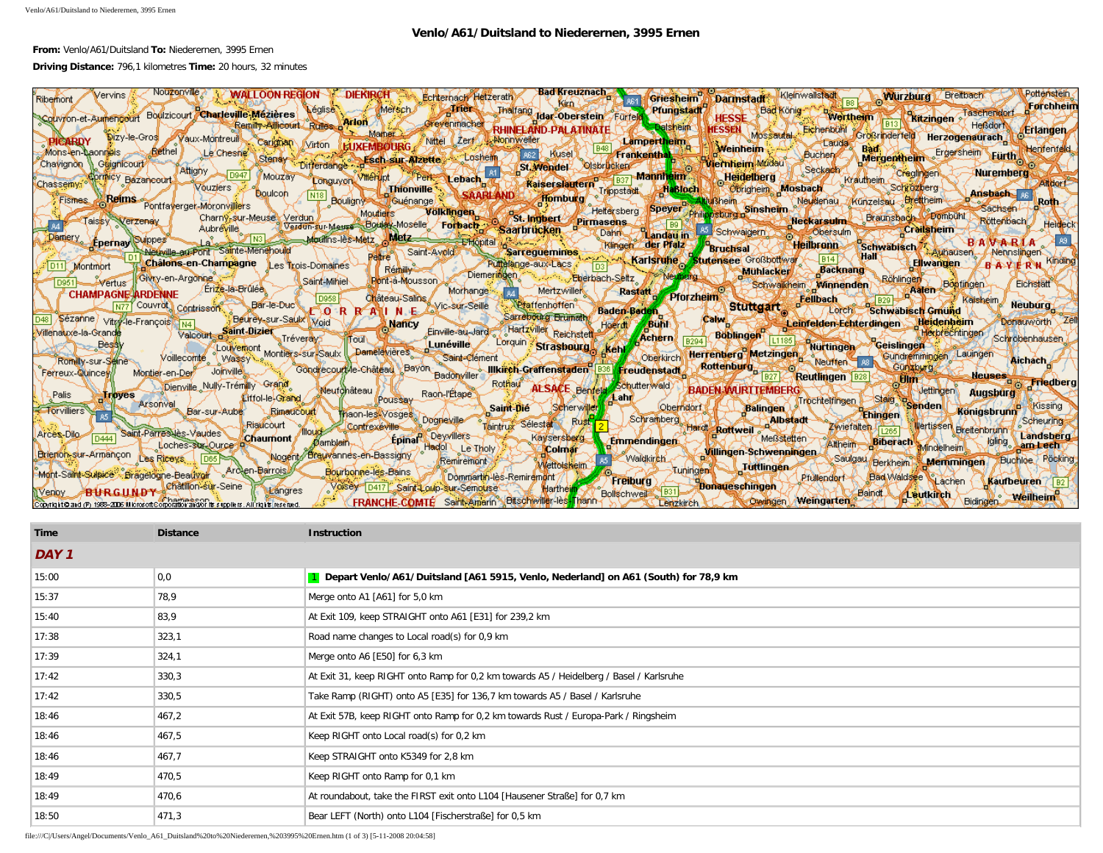## **Venlo/A61/Duitsland to Niederernen, 3995 Ernen**

## **From:** Venlo/A61/Duitsland **To:** Niederernen, 3995 Ernen

## **Driving Distance:** 796,1 kilometres **Time:** 20 hours, 32 minutes

| Nouzenville<br><b>DIEKIRCHT</b><br><b>WALLOON REGION</b><br>/ervins.<br>Echterhach Hetzerath<br>Riberhord                                                                                     | <b>Bad Kreuznach</b><br>Pottenstein<br>Darmstadt Kleinwallsfadt<br>Wurzburg Breitbach<br>Griesheim<br><b>If orchheim</b>                                                   |
|-----------------------------------------------------------------------------------------------------------------------------------------------------------------------------------------------|----------------------------------------------------------------------------------------------------------------------------------------------------------------------------|
| <b>Westment</b><br>Convion-et-Authencourt Boulzicourt Charleville-Mézières<br><b>Remity-Afficount Rulles of Hon</b><br>Grevenmacher<br><b>RHINELAND-PALATINATE</b>                            | Thalfang Idar-Oberstein Fürfeld<br>Pfungstadt<br>HESSE Non Worthern Hais Ritzingen<br>Taschendort<br><b>Heßdor</b><br><b>Balsheim</b><br><b>Erlanden</b>                   |
| . Marhet<br>Dizy-le-Gros Vaux-Montreuil Cariguan Virton<br>Nittel Zerf Nonnweiler                                                                                                             | HESSEN Mossautal Eichenbühl Großrinderteil Herzogenaurach<br>Lampertheim<br>- Laudan<br><b>Weinheim</b><br>Henfenfeld                                                      |
| ⊿Bethel.<br>Mons-en-Laonneis<br>Le Chesne<br>-A62 i<br>Differdange a Sch sur Alzette Losheim<br>Stensy<br>Guianicourt/<br>Chavignon<br>Attigny                                                | Bad, Frigersheim Eurth<br>_ Klusel ॥ ਟ <del>ਸਸ</del><br>Frankenthal<br>Buchen<br><b>Viernheim Mudau</b><br><b>ISt Wender Oscucken</b><br>Seckada                           |
| Conguyon Villeniut Pent Lebach<br>D947 Mouzay<br>Thionville SAARLAND Kaiserslautern 1937 Mainheim<br>princy Bazaneeurt<br>Chassemy:<br><b>Vouziers</b><br><b>Boulcon</b>                      | Creatinger J. - Nuremberg<br><b>Heidelberg</b><br>Krauthein<br><b>Atdorf</b><br>Trippstatt Habloch Obrigheim Mosbach<br>Schrözberg-<br>Ansbach 98                          |
| $\sqrt{\frac{N18}{n}}$<br><b>Reims</b><br><b>Pontfaverger-Moronvillers</b><br><b>Fismes</b><br>Bouligny Cuénange<br>Moutiers                                                                  | Kunzelsau Brettheim<br>Neudenau.<br><b>Roth</b><br>Sachsen-<br>Heltersberg Speyer Philippsburg B                                                                           |
| Völklingen St. Ingbert Pirmasens<br>Charny-sur-Meuse Verdun<br>Taissy Verzenay<br>Verdun-sur-Meuse Bouley-Moselle Forbach<br>Aubréville<br><b>Saarbrücken</b> 5                               | Neckarsulm Braunsbach Combun<br>Rottenbach<br><b>Crailsheim</b><br>Landau in Schwaigern<br>Obersulm<br>L Dahn L                                                            |
| N3 Moultins-les-Metz Metz<br>Damery<br>Suippes"<br><del>TE'hl</del> ôpital<br>⊰Epernav<br>Euville-au-Pont Sainte-Menehould<br>Petre Saint-Avoids<br>Sarreguemines                             | <b>BANABLA</b><br><b>Heilbrenn</b><br><b>TRimaen der Pfalz</b><br>Schwäbisch Auhausen<br><b>Bruchsal</b><br>-Nennslingen-                                                  |
| Châlons-en-Champagne Les Trois-Domaines<br>Puttelange-aux-Lacs<br>Montmort<br>Remine of<br>Diemeringen                                                                                        | Karlsruhe Stutensee Großbottwer - B14 P Hall<br><b>&amp; Eliwangen</b><br>′B'A¥IERW<br><b>Backnang</b><br>Eberhach Seltz Neubeng Mühlacken<br>Röhlingen                    |
| Givey-en-Argonae<br><b>W</b> Saint-Miniel<br>Pont-a-Mousson<br><b>Wertus</b><br>Erize-la-Brûlée<br>Morhange <sup>1</sup><br><b>CHAMPAGNE ARDENNE</b><br>$\sqrt{0958}$<br>Château-Salins/      | Eichstätt<br><b>Bostingen</b><br>Schwalkheim Winnenden<br>Mertzwiller<br>Rastatt Pforzheim<br><b>Fellbach</b>                                                              |
| Couvrot, Contrisson, Bar-le-Duc<br>CORRALINE VIC-SUI-Seille<br>Sarrebourg Brumath<br>Beurey-sur-Saulx Moid                                                                                    | Kaisheim.<br><b>Neuburg</b><br>Baden Beden Y A Stuttgart<br><b>Zorch Schwabisch Graund</b>                                                                                 |
| Sezanne / vitry-le-François N4L<br>Nancy Einville-au-Jard Hartzviller Reichstett<br>Valcourt Saint-Diziet Tréveray<br><b>Villenauxe-la-Grande</b><br>ili ou h                                 | Calw Call<br><b>Donauworth</b><br>Leinfelden Echterdingen<br>Hoerat Bunn<br><b>Herbrechtingen</b><br>Achern Boblinger<br>Schrobenhauser                                    |
| Lunéville <sup>1</sup><br><b>Bessy</b><br>Louvemont Montiers-sur Saulx Damelevières<br>Saint-Clément<br>Voillecomte<br>Romilly-sur-Seine                                                      | Lingen Geislingen<br>Lorquin Strashourg Kehl<br>Oberkirch Herrenberg Metzingen Nurtingen<br>Gundremmingen Lauingen<br>Aichach                                              |
| Göndrecourt le-Château Bayon Badonyiller Illkiech-Graffenstaden B36 Freudenstadt<br><sup>-</sup> Joinvillet.<br>Ferreux-Quincew/<br>Montier-en-Der                                            | Günzburg<br>Rottenburg<br><b>Reutlingen</b> 1928<br><b>Aleuses</b><br><b>allum</b><br><b>Alexantiedberg</b>                                                                |
| Dienville Nully-Trémilly Grand<br>Neufonâteau<br>Raon-l'Étape<br>Palis<br><b>Troves</b><br>Litfol-le-Grand<br>Poussay                                                                         | Rothal ALSACE Benfeld Schutterwald BADEN WURTTEMBERG<br>Jettingen<br>Augsburg<br>⁄±ah#<br>Oberfrächt (CL) palingen (Trocheltingen Claire of Stenden)<br><b>An-AKissina</b> |
| Arsonval Bar-sur-Aube<br>Saint-Die<br>≢orvilliers<br><b>Rimaticount</b><br>Thaon-les Vosges Dogneville<br>Taintrux Sélestar<br>Riaucourt<br>floud Contrexeville                               | Scherwiller<br><b>Konigsbrunn</b><br><b>TEhingen</b><br>Schramberg Hard Rottweil Mark<br>*Albstadt –<br>Scheuring<br>Rust <sub>i</sub>                                     |
| Saint-Parres lès-Vaudes<br>Arces-Dilg<br>Epinary Deywillers<br>Kaysersberg<br><i>‼Cl</i> haumont∫<br>"Øamblain.<br>Loches-sur-Ource 4<br>Hadol Le Tholy                                       | Wriefalten 1265 Wertissen Breitenbrunn<br>Landsberg<br>Meßstetten<br><b>Emméndingent &amp;</b><br>lgling, am Lecht<br>Altheim Biberach Mindelheim                          |
| <b>Colmar</b><br>Brienon-sur-Armançon Les Riceys 1065<br>Nogent Breuvannes-en-Bassigny<br><b>Remirement</b><br><b>Wettolskeim</b>                                                             | Willingen-Schwenningen<br>Waldkir <b>ith</b><br>Saulgau Herkheim<br>Memmingen Buchloe Poeking<br>Lutlingen                                                                 |
| Mont-Saint-Sulaice Bragelogne-Beauvoir Arcten-Barrois<br>Bourbonne-les-Bains<br>Dommartin-les-Remirement<br>Chatillon-sur-Seine<br>Voisey D417 Saint Louip-sur-Semouse<br>Langres<br>Harthein | Tuningent<br>Pfullendorf Bad Waldste Lachen<br><b>Freiburg</b><br><b>Kaufbeuren</b><br><b>Bonaueschingen</b>                                                               |
| <b>A.S. FRANCHE-COMTE</b> Saint-Americ Bitschwiller-les-linancy<br>opunig i tio and (P) 1966–2006 Milorosoft Corporation and/or its suppliers . All rights reserved. I                        | Bollschweit B31<br>Baind eutkinch<br>$\sim$ weilbeim<br><b>Bidingen</b><br><b>Weingarten</b><br>Lenzkirch Coungen                                                          |

| Time  | <b>Distance</b> | <b>Instruction</b>                                                                      |  |
|-------|-----------------|-----------------------------------------------------------------------------------------|--|
| DAY 1 |                 |                                                                                         |  |
| 15:00 | 0,0             | 1 Depart Venlo/A61/Duitsland [A61 5915, Venlo, Nederland] on A61 (South) for 78,9 km    |  |
| 15:37 | 78,9            | Merge onto A1 [A61] for 5,0 km                                                          |  |
| 15:40 | 83,9            | At Exit 109, keep STRAIGHT onto A61 [E31] for 239,2 km                                  |  |
| 17:38 | 323,1           | Road name changes to Local road(s) for 0,9 km                                           |  |
| 17:39 | 324,1           | Merge onto A6 [E50] for 6,3 km                                                          |  |
| 17:42 | 330,3           | At Exit 31, keep RIGHT onto Ramp for 0,2 km towards A5 / Heidelberg / Basel / Karlsruhe |  |
| 17:42 | 330,5           | Take Ramp (RIGHT) onto A5 [E35] for 136,7 km towards A5 / Basel / Karlsruhe             |  |
| 18:46 | 467,2           | At Exit 57B, keep RIGHT onto Ramp for 0,2 km towards Rust / Europa-Park / Ringsheim     |  |
| 18:46 | 467,5           | Keep RIGHT onto Local road(s) for 0,2 km                                                |  |
| 18:46 | 467,7           | Keep STRAIGHT onto K5349 for 2,8 km                                                     |  |
| 18:49 | 470,5           | Keep RIGHT onto Ramp for 0,1 km                                                         |  |
| 18:49 | 470,6           | At roundabout, take the FIRST exit onto L104 [Hausener Straße] for 0,7 km               |  |
| 18:50 | 471,3           | Bear LEFT (North) onto L104 [Fischerstraße] for 0,5 km                                  |  |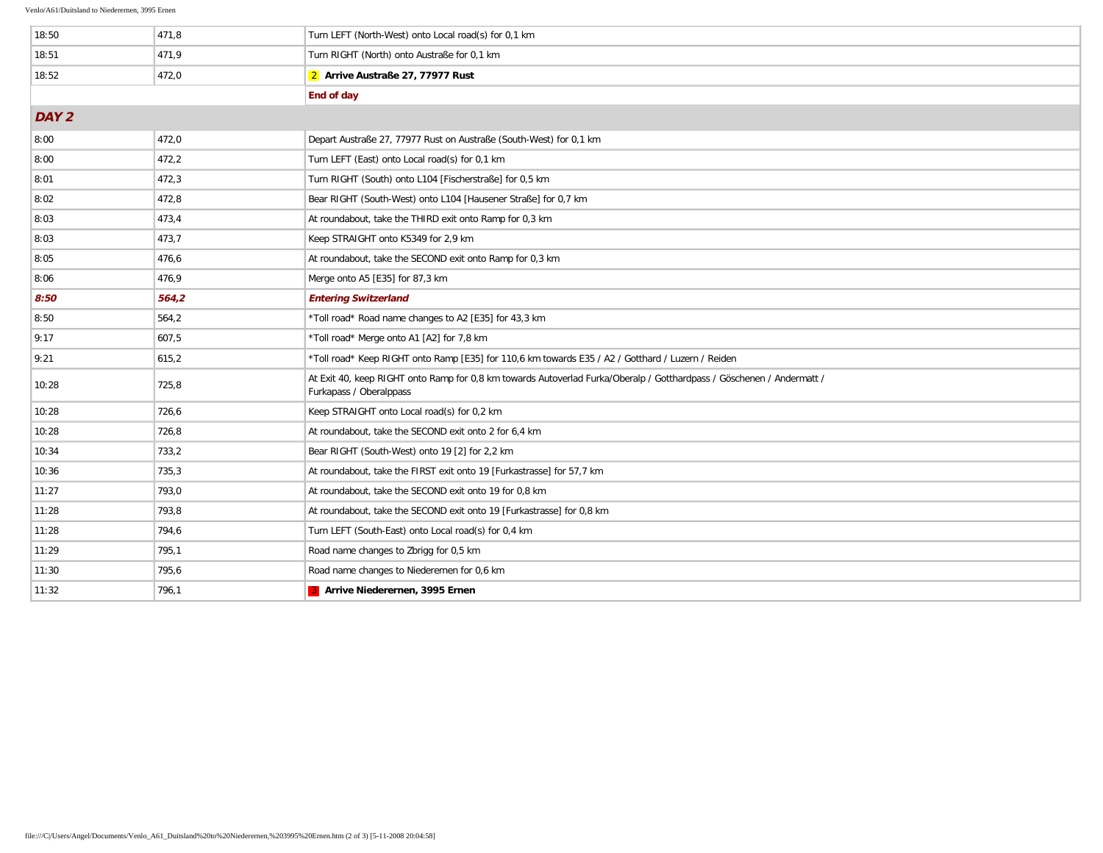| 18:50            | 471,8 | Turn LEFT (North-West) onto Local road(s) for 0.1 km                                                                                             |
|------------------|-------|--------------------------------------------------------------------------------------------------------------------------------------------------|
| 18:51            | 471,9 | Turn RIGHT (North) onto Austraße for 0,1 km                                                                                                      |
| 18:52            | 472,0 | 2 Arrive Austraße 27, 77977 Rust                                                                                                                 |
|                  |       | End of day                                                                                                                                       |
| DAY <sub>2</sub> |       |                                                                                                                                                  |
| 8:00             | 472,0 | Depart Austraße 27, 77977 Rust on Austraße (South-West) for 0,1 km                                                                               |
| 8:00             | 472,2 | Turn LEFT (East) onto Local road(s) for 0,1 km                                                                                                   |
| 8:01             | 472,3 | Turn RIGHT (South) onto L104 [Fischerstraße] for 0,5 km                                                                                          |
| 8:02             | 472,8 | Bear RIGHT (South-West) onto L104 [Hausener Straße] for 0,7 km                                                                                   |
| 8:03             | 473,4 | At roundabout, take the THIRD exit onto Ramp for 0,3 km                                                                                          |
| 8:03             | 473,7 | Keep STRAIGHT onto K5349 for 2,9 km                                                                                                              |
| 8:05             | 476,6 | At roundabout, take the SECOND exit onto Ramp for 0,3 km                                                                                         |
| 8:06             | 476,9 | Merge onto A5 [E35] for 87,3 km                                                                                                                  |
| 8:50             | 564,2 | <b>Entering Switzerland</b>                                                                                                                      |
| 8:50             | 564,2 | *Toll road* Road name changes to A2 [E35] for 43,3 km                                                                                            |
| 9:17             | 607,5 | *Toll road* Merge onto A1 [A2] for 7,8 km                                                                                                        |
| 9:21             | 615,2 | *Toll road* Keep RIGHT onto Ramp [E35] for 110,6 km towards E35 / A2 / Gotthard / Luzern / Reiden                                                |
| 10:28            | 725,8 | At Exit 40, keep RIGHT onto Ramp for 0,8 km towards Autoverlad Furka/Oberalp / Gotthardpass / Göschenen / Andermatt /<br>Furkapass / Oberalppass |
| 10:28            | 726,6 | Keep STRAIGHT onto Local road(s) for 0,2 km                                                                                                      |
| 10:28            | 726,8 | At roundabout, take the SECOND exit onto 2 for 6,4 km                                                                                            |
| 10:34            | 733,2 | Bear RIGHT (South-West) onto 19 [2] for 2,2 km                                                                                                   |
| 10:36            | 735,3 | At roundabout, take the FIRST exit onto 19 [Furkastrasse] for 57,7 km                                                                            |
| 11:27            | 793,0 | At roundabout, take the SECOND exit onto 19 for 0.8 km                                                                                           |
| 11:28            | 793,8 | At roundabout, take the SECOND exit onto 19 [Furkastrasse] for 0.8 km                                                                            |
| 11:28            | 794,6 | Turn LEFT (South-East) onto Local road(s) for 0,4 km                                                                                             |
| 11:29            | 795,1 | Road name changes to Zbrigg for 0,5 km                                                                                                           |
| 11:30            | 795,6 | Road name changes to Niederernen for 0,6 km                                                                                                      |
| 11:32            | 796,1 | 3 Arrive Niederernen, 3995 Ernen                                                                                                                 |